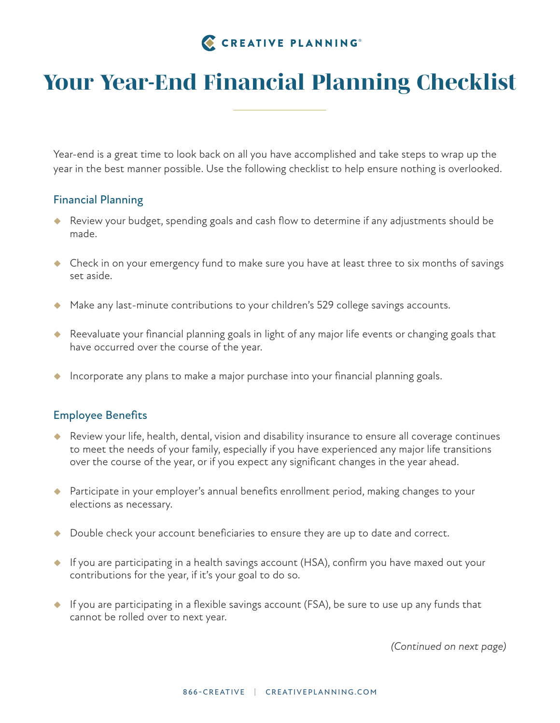# CREATIVE PLANNING®

# *Your Year-End Financial Planning Checklist*

Year-end is a great time to look back on all you have accomplished and take steps to wrap up the year in the best manner possible. Use the following checklist to help ensure nothing is overlooked.

### Financial Planning

- ◆ Review your budget, spending goals and cash flow to determine if any adjustments should be made.
- ◆ Check in on your emergency fund to make sure you have at least three to six months of savings set aside.
- ◆ Make any last-minute contributions to your children's 529 college savings accounts.
- ◆ Reevaluate your financial planning goals in light of any major life events or changing goals that have occurred over the course of the year.
- $\blacklozenge$  Incorporate any plans to make a major purchase into your financial planning goals.

#### Employee Benefits

- Review your life, health, dental, vision and disability insurance to ensure all coverage continues to meet the needs of your family, especially if you have experienced any major life transitions over the course of the year, or if you expect any significant changes in the year ahead.
- ◆ Participate in your employer's annual benefits enrollment period, making changes to your elections as necessary.
- ◆ Double check your account beneficiaries to ensure they are up to date and correct.
- If you are participating in a health savings account (HSA), confirm you have maxed out your contributions for the year, if it's your goal to do so.
- $\bullet$  If you are participating in a flexible savings account (FSA), be sure to use up any funds that cannot be rolled over to next year.

*(Continued on next page)*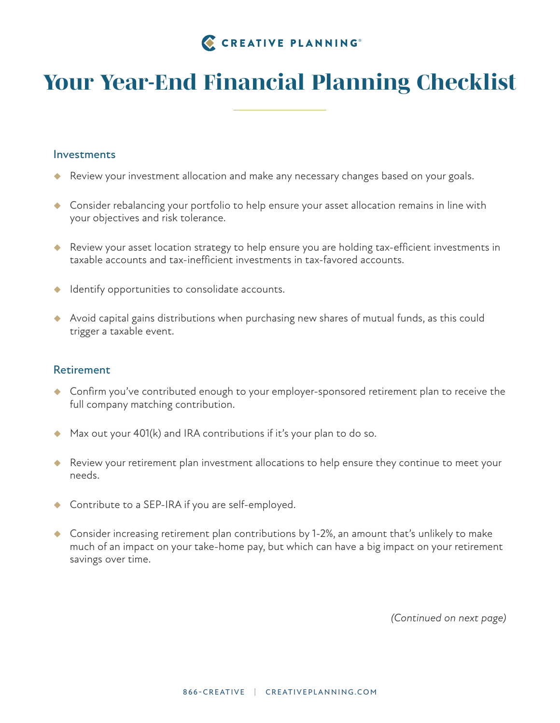# *Your Year-End Financial Planning Checklist*

#### Investments

- Review your investment allocation and make any necessary changes based on your goals.
- ◆ Consider rebalancing your portfolio to help ensure your asset allocation remains in line with your objectives and risk tolerance.
- ◆ Review your asset location strategy to help ensure you are holding tax-efficient investments in taxable accounts and tax-inefficient investments in tax-favored accounts.
- $\blacklozenge$  Identify opportunities to consolidate accounts.
- Avoid capital gains distributions when purchasing new shares of mutual funds, as this could trigger a taxable event.

#### Retirement

- ◆ Confirm you've contributed enough to your employer-sponsored retirement plan to receive the full company matching contribution.
- ◆ Max out your 401(k) and IRA contributions if it's your plan to do so.
- Review your retirement plan investment allocations to help ensure they continue to meet your needs.
- ◆ Contribute to a SEP-IRA if you are self-employed.
- ◆ Consider increasing retirement plan contributions by 1-2%, an amount that's unlikely to make much of an impact on your take-home pay, but which can have a big impact on your retirement savings over time.

*(Continued on next page)*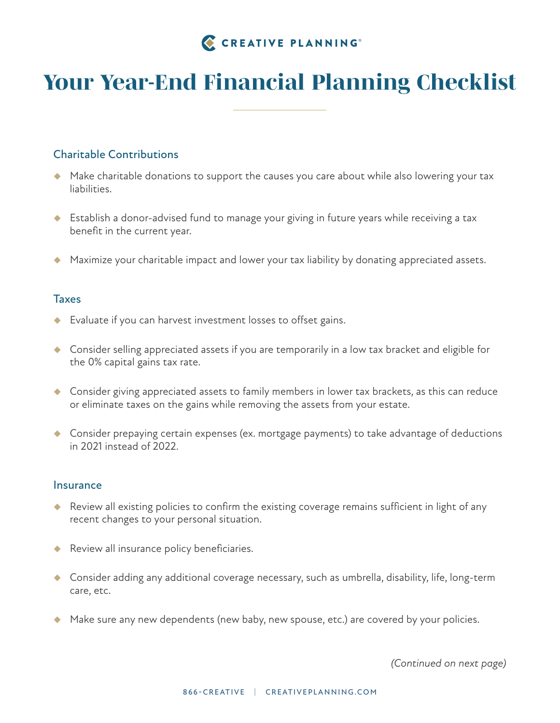# *Your Year-End Financial Planning Checklist*

# Charitable Contributions

- Make charitable donations to support the causes you care about while also lowering your tax liabilities.
- ◆ Establish a donor-advised fund to manage your giving in future years while receiving a tax benefit in the current year.
- Maximize your charitable impact and lower your tax liability by donating appreciated assets.

### **Taxes**

- ◆ Evaluate if you can harvest investment losses to offset gains.
- ◆ Consider selling appreciated assets if you are temporarily in a low tax bracket and eligible for the 0% capital gains tax rate.
- ◆ Consider giving appreciated assets to family members in lower tax brackets, as this can reduce or eliminate taxes on the gains while removing the assets from your estate.
- ◆ Consider prepaying certain expenses (ex. mortgage payments) to take advantage of deductions in 2021 instead of 2022.

#### **Insurance**

- ◆ Review all existing policies to confirm the existing coverage remains sufficient in light of any recent changes to your personal situation.
- Review all insurance policy beneficiaries.
- Consider adding any additional coverage necessary, such as umbrella, disability, life, long-term care, etc.
- A Make sure any new dependents (new baby, new spouse, etc.) are covered by your policies.

*(Continued on next page)*